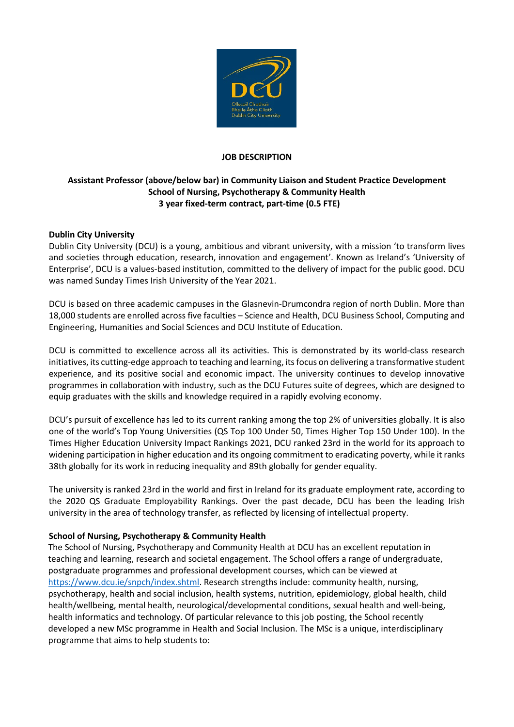

## **JOB DESCRIPTION**

# **Assistant Professor (above/below bar) in Community Liaison and Student Practice Development School of Nursing, Psychotherapy & Community Health 3 year fixed-term contract, part-time (0.5 FTE)**

## **Dublin City University**

Dublin City University (DCU) is a young, ambitious and vibrant university, with a mission 'to transform lives and societies through education, research, innovation and engagement'. Known as Ireland's 'University of Enterprise', DCU is a values-based institution, committed to the delivery of impact for the public good. DCU was named Sunday Times Irish University of the Year 2021.

DCU is based on three academic campuses in the Glasnevin-Drumcondra region of north Dublin. More than 18,000 students are enrolled across five faculties – Science and Health, DCU Business School, Computing and Engineering, Humanities and Social Sciences and DCU Institute of Education.

DCU is committed to excellence across all its activities. This is demonstrated by its world-class research initiatives, its cutting-edge approach to teaching and learning, its focus on delivering a transformative student experience, and its positive social and economic impact. The university continues to develop innovative programmes in collaboration with industry, such as the DCU Futures suite of degrees, which are designed to equip graduates with the skills and knowledge required in a rapidly evolving economy.

DCU's pursuit of excellence has led to its current ranking among the top 2% of universities globally. It is also one of the world's Top Young Universities (QS Top 100 Under 50, Times Higher Top 150 Under 100). In the Times Higher Education University Impact Rankings 2021, DCU ranked 23rd in the world for its approach to widening participation in higher education and its ongoing commitment to eradicating poverty, while it ranks 38th globally for its work in reducing inequality and 89th globally for gender equality.

The university is ranked 23rd in the world and first in Ireland for its graduate employment rate, according to the 2020 QS Graduate Employability Rankings. Over the past decade, DCU has been the leading Irish university in the area of technology transfer, as reflected by licensing of intellectual property.

#### **School of Nursing, Psychotherapy & Community Health**

The School of Nursing, Psychotherapy and Community Health at DCU has an excellent reputation in teaching and learning, research and societal engagement. The School offers a range of undergraduate, postgraduate programmes and professional development courses, which can be viewed at [https://www.dcu.ie/snpch/index.shtml.](https://www.dcu.ie/snpch/index.shtml) Research strengths include: community health, nursing, psychotherapy, health and social inclusion, health systems, nutrition, epidemiology, global health, child health/wellbeing, mental health, neurological/developmental conditions, sexual health and well-being, health informatics and technology. Of particular relevance to this job posting, the School recently developed a new MSc programme in Health and Social Inclusion. The MSc is a unique, interdisciplinary programme that aims to help students to: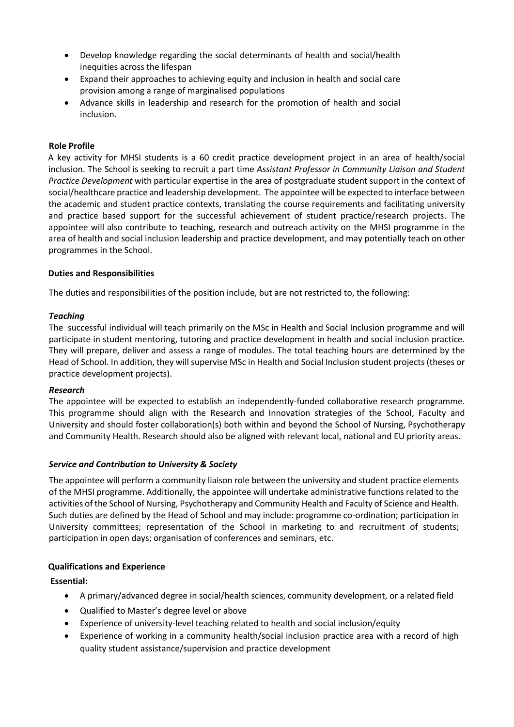- Develop knowledge regarding the social determinants of health and social/health inequities across the lifespan
- Expand their approaches to achieving equity and inclusion in health and social care provision among a range of marginalised populations
- Advance skills in leadership and research for the promotion of health and social inclusion.

#### **Role Profile**

A key activity for MHSI students is a 60 credit practice development project in an area of health/social inclusion. The School is seeking to recruit a part time *Assistant Professor in Community Liaison and Student Practice Development* with particular expertise in the area of postgraduate student support in the context of social/healthcare practice and leadership development. The appointee will be expected to interface between the academic and student practice contexts, translating the course requirements and facilitating university and practice based support for the successful achievement of student practice/research projects. The appointee will also contribute to teaching, research and outreach activity on the MHSI programme in the area of health and social inclusion leadership and practice development, and may potentially teach on other programmes in the School.

#### **Duties and Responsibilities**

The duties and responsibilities of the position include, but are not restricted to, the following:

## *Teaching*

The successful individual will teach primarily on the MSc in Health and Social Inclusion programme and will participate in student mentoring, tutoring and practice development in health and social inclusion practice. They will prepare, deliver and assess a range of modules. The total teaching hours are determined by the Head of School. In addition, they will supervise MSc in Health and Social Inclusion student projects (theses or practice development projects).

#### *Research*

The appointee will be expected to establish an independently-funded collaborative research programme. This programme should align with the Research and Innovation strategies of the School, Faculty and University and should foster collaboration(s) both within and beyond the School of Nursing, Psychotherapy and Community Health. Research should also be aligned with relevant local, national and EU priority areas.

#### *Service and Contribution to University & Society*

The appointee will perform a community liaison role between the university and student practice elements of the MHSI programme. Additionally, the appointee will undertake administrative functions related to the activities of the School of Nursing, Psychotherapy and Community Health and Faculty of Science and Health. Such duties are defined by the Head of School and may include: programme co-ordination; participation in University committees; representation of the School in marketing to and recruitment of students; participation in open days; organisation of conferences and seminars, etc.

#### **Qualifications and Experience**

# **Essential:**

- A primary/advanced degree in social/health sciences, community development, or a related field
- Qualified to Master's degree level or above
- Experience of university-level teaching related to health and social inclusion/equity
- Experience of working in a community health/social inclusion practice area with a record of high quality student assistance/supervision and practice development